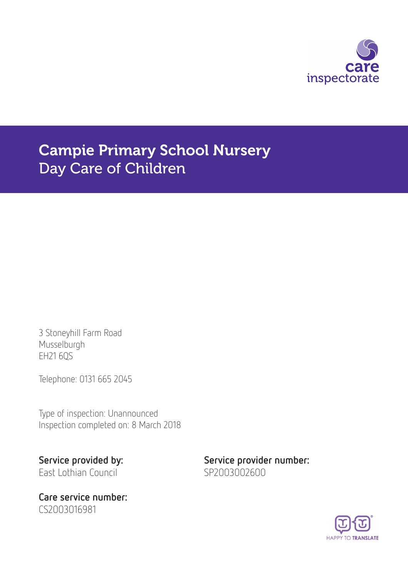

Campie Primary School Nursery Day Care of Children

3 Stoneyhill Farm Road Musselburgh EH21 6QS

Telephone: 0131 665 2045

Type of inspection: Unannounced Inspection completed on: 8 March 2018

East Lothian Council SP2003002600

Care service number: CS2003016981

Service provided by: Service provider number:

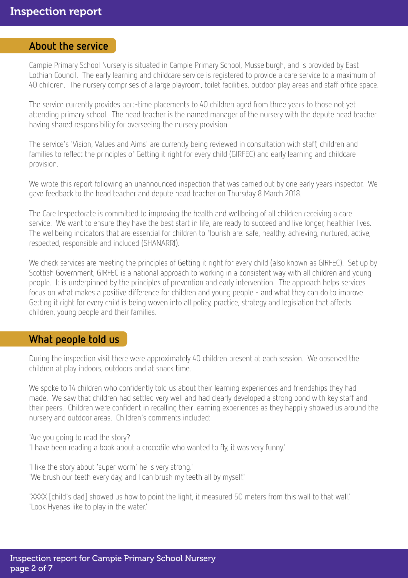#### About the service

Campie Primary School Nursery is situated in Campie Primary School, Musselburgh, and is provided by East Lothian Council. The early learning and childcare service is registered to provide a care service to a maximum of 40 children. The nursery comprises of a large playroom, toilet facilities, outdoor play areas and staff office space.

The service currently provides part-time placements to 40 children aged from three years to those not yet attending primary school. The head teacher is the named manager of the nursery with the depute head teacher having shared responsibility for overseeing the nursery provision.

The service's 'Vision, Values and Aims' are currently being reviewed in consultation with staff, children and families to reflect the principles of Getting it right for every child (GIRFEC) and early learning and childcare provision.

We wrote this report following an unannounced inspection that was carried out by one early years inspector. We gave feedback to the head teacher and depute head teacher on Thursday 8 March 2018.

The Care Inspectorate is committed to improving the health and wellbeing of all children receiving a care service. We want to ensure they have the best start in life, are ready to succeed and live longer, healthier lives. The wellbeing indicators that are essential for children to flourish are: safe, healthy, achieving, nurtured, active, respected, responsible and included (SHANARRI).

We check services are meeting the principles of Getting it right for every child (also known as GIRFEC). Set up by Scottish Government, GIRFEC is a national approach to working in a consistent way with all children and young people. It is underpinned by the principles of prevention and early intervention. The approach helps services focus on what makes a positive difference for children and young people - and what they can do to improve. Getting it right for every child is being woven into all policy, practice, strategy and legislation that affects children, young people and their families.

#### What people told us

During the inspection visit there were approximately 40 children present at each session. We observed the children at play indoors, outdoors and at snack time.

We spoke to 14 children who confidently told us about their learning experiences and friendships they had made. We saw that children had settled very well and had clearly developed a strong bond with key staff and their peers. Children were confident in recalling their learning experiences as they happily showed us around the nursery and outdoor areas. Children's comments included:

'Are you going to read the story?'

'I have been reading a book about a crocodile who wanted to fly, it was very funny.'

'I like the story about 'super worm' he is very strong.' 'We brush our teeth every day, and I can brush my teeth all by myself.'

'XXXX [child's dad] showed us how to point the light, it measured 50 meters from this wall to that wall.' 'Look Hyenas like to play in the water.'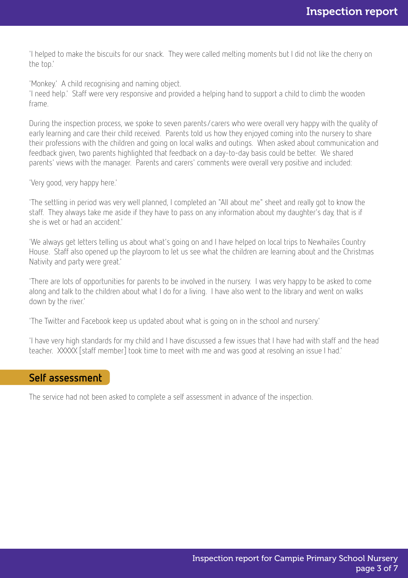'I helped to make the biscuits for our snack. They were called melting moments but I did not like the cherry on the top.'

'Monkey.' A child recognising and naming object.

'I need help.' Staff were very responsive and provided a helping hand to support a child to climb the wooden frame.

During the inspection process, we spoke to seven parents/carers who were overall very happy with the quality of early learning and care their child received. Parents told us how they enjoyed coming into the nursery to share their professions with the children and going on local walks and outings. When asked about communication and feedback given, two parents highlighted that feedback on a day-to-day basis could be better. We shared parents' views with the manager. Parents and carers' comments were overall very positive and included:

'Very good, very happy here.'

'The settling in period was very well planned, I completed an "All about me" sheet and really got to know the staff. They always take me aside if they have to pass on any information about my daughter's day, that is if she is wet or had an accident.'

'We always get letters telling us about what's going on and I have helped on local trips to Newhailes Country House. Staff also opened up the playroom to let us see what the children are learning about and the Christmas Nativity and party were great.'

'There are lots of opportunities for parents to be involved in the nursery. I was very happy to be asked to come along and talk to the children about what I do for a living. I have also went to the library and went on walks down by the river.'

'The Twitter and Facebook keep us updated about what is going on in the school and nursery.'

'I have very high standards for my child and I have discussed a few issues that I have had with staff and the head teacher. XXXXX [staff member] took time to meet with me and was good at resolving an issue I had.'

#### Self assessment

The service had not been asked to complete a self assessment in advance of the inspection.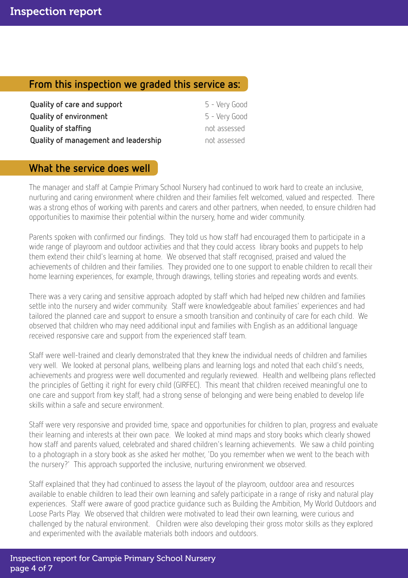## From this inspection we graded this service as:

| Quality of care and support          | 5 - Very Good |
|--------------------------------------|---------------|
| <b>Quality of environment</b>        | 5 - Very Good |
| Quality of staffing                  | not assessed  |
| Quality of management and leadership | not assessed  |

## What the service does well

The manager and staff at Campie Primary School Nursery had continued to work hard to create an inclusive, nurturing and caring environment where children and their families felt welcomed, valued and respected. There was a strong ethos of working with parents and carers and other partners, when needed, to ensure children had opportunities to maximise their potential within the nursery, home and wider community.

Parents spoken with confirmed our findings. They told us how staff had encouraged them to participate in a wide range of playroom and outdoor activities and that they could access library books and puppets to help them extend their child's learning at home. We observed that staff recognised, praised and valued the achievements of children and their families. They provided one to one support to enable children to recall their home learning experiences, for example, through drawings, telling stories and repeating words and events.

There was a very caring and sensitive approach adopted by staff which had helped new children and families settle into the nursery and wider community. Staff were knowledgeable about families' experiences and had tailored the planned care and support to ensure a smooth transition and continuity of care for each child. We observed that children who may need additional input and families with English as an additional language received responsive care and support from the experienced staff team.

Staff were well-trained and clearly demonstrated that they knew the individual needs of children and families very well. We looked at personal plans, wellbeing plans and learning logs and noted that each child's needs, achievements and progress were well documented and regularly reviewed. Health and wellbeing plans reflected the principles of Getting it right for every child (GIRFEC). This meant that children received meaningful one to one care and support from key staff, had a strong sense of belonging and were being enabled to develop life skills within a safe and secure environment.

Staff were very responsive and provided time, space and opportunities for children to plan, progress and evaluate their learning and interests at their own pace. We looked at mind maps and story books which clearly showed how staff and parents valued, celebrated and shared children's learning achievements. We saw a child pointing to a photograph in a story book as she asked her mother, 'Do you remember when we went to the beach with the nursery?' This approach supported the inclusive, nurturing environment we observed.

Staff explained that they had continued to assess the layout of the playroom, outdoor area and resources available to enable children to lead their own learning and safely participate in a range of risky and natural play experiences. Staff were aware of good practice guidance such as Building the Ambition, My World Outdoors and Loose Parts Play. We observed that children were motivated to lead their own learning, were curious and challenged by the natural environment. Children were also developing their gross motor skills as they explored and experimented with the available materials both indoors and outdoors.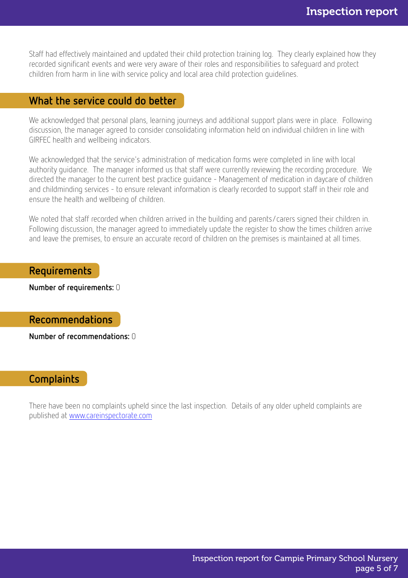Staff had effectively maintained and updated their child protection training log. They clearly explained how they recorded significant events and were very aware of their roles and responsibilities to safeguard and protect children from harm in line with service policy and local area child protection guidelines.

#### What the service could do better

We acknowledged that personal plans, learning journeys and additional support plans were in place. Following discussion, the manager agreed to consider consolidating information held on individual children in line with GIRFEC health and wellbeing indicators.

We acknowledged that the service's administration of medication forms were completed in line with local authority guidance. The manager informed us that staff were currently reviewing the recording procedure. We directed the manager to the current best practice guidance - Management of medication in daycare of children and childminding services - to ensure relevant information is clearly recorded to support staff in their role and ensure the health and wellbeing of children.

We noted that staff recorded when children arrived in the building and parents/carers signed their children in. Following discussion, the manager agreed to immediately update the register to show the times children arrive and leave the premises, to ensure an accurate record of children on the premises is maintained at all times.

Requirements

Number of requirements: 0

Recommendations

Number of recommendations: 0

#### **Complaints**

There have been no complaints upheld since the last inspection. Details of any older upheld complaints are published at [www.careinspectorate.com](http://www.careinspectorate.com)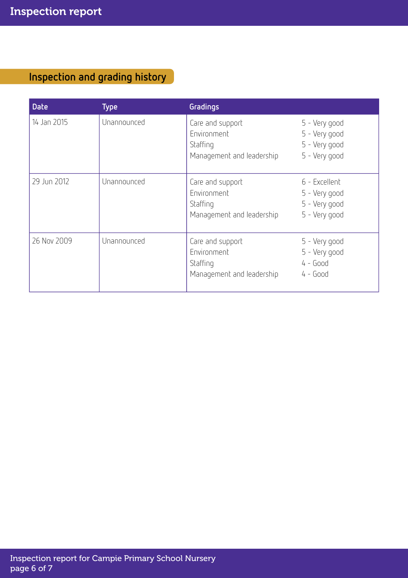# Inspection and grading history

| <b>Date</b> | <b>Type</b> | Gradings                                                                 |                                                                  |
|-------------|-------------|--------------------------------------------------------------------------|------------------------------------------------------------------|
| 14 Jan 2015 | Unannounced | Care and support<br>Environment<br>Staffing<br>Management and leadership | 5 - Very good<br>5 - Very good<br>5 - Very good<br>5 - Very good |
| 29 Jun 2012 | Unannounced | Care and support<br>Environment<br>Staffing<br>Management and leadership | 6 - Excellent<br>5 - Very good<br>5 - Very good<br>5 - Very good |
| 26 Nov 2009 | Unannounced | Care and support<br>Environment<br>Staffing<br>Management and leadership | 5 - Very good<br>5 - Very good<br>$4 - Good$<br>$4 - Good$       |